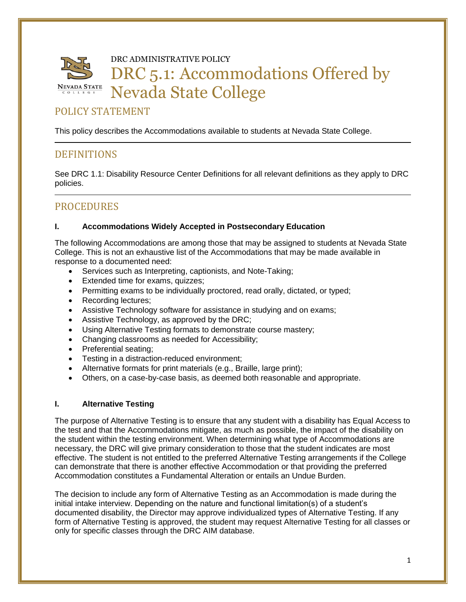

DRC ADMINISTRATIVE POLICY

# DRC 5.1: Accommodations Offered by Nevada State College

# POLICY STATEMENT

This policy describes the Accommodations available to students at Nevada State College.

# **DEFINITIONS**

See DRC 1.1: Disability Resource Center Definitions for all relevant definitions as they apply to DRC policies.

# **PROCEDURES**

# **I. Accommodations Widely Accepted in Postsecondary Education**

The following Accommodations are among those that may be assigned to students at Nevada State College. This is not an exhaustive list of the Accommodations that may be made available in response to a documented need:

- Services such as Interpreting, captionists, and Note-Taking;
- Extended time for exams, quizzes;
- Permitting exams to be individually proctored, read orally, dictated, or typed;
- Recording lectures;
- Assistive Technology software for assistance in studying and on exams;
- Assistive Technology, as approved by the DRC;
- Using Alternative Testing formats to demonstrate course mastery;
- Changing classrooms as needed for Accessibility;
- Preferential seating:
- Testing in a distraction-reduced environment;
- Alternative formats for print materials (e.g., Braille, large print);
- Others, on a case-by-case basis, as deemed both reasonable and appropriate.

# **I. Alternative Testing**

The purpose of Alternative Testing is to ensure that any student with a disability has Equal Access to the test and that the Accommodations mitigate, as much as possible, the impact of the disability on the student within the testing environment. When determining what type of Accommodations are necessary, the DRC will give primary consideration to those that the student indicates are most effective. The student is not entitled to the preferred Alternative Testing arrangements if the College can demonstrate that there is another effective Accommodation or that providing the preferred Accommodation constitutes a Fundamental Alteration or entails an Undue Burden.

The decision to include any form of Alternative Testing as an Accommodation is made during the initial intake interview. Depending on the nature and functional limitation(s) of a student's documented disability, the Director may approve individualized types of Alternative Testing. If any form of Alternative Testing is approved, the student may request Alternative Testing for all classes or only for specific classes through the DRC AIM database.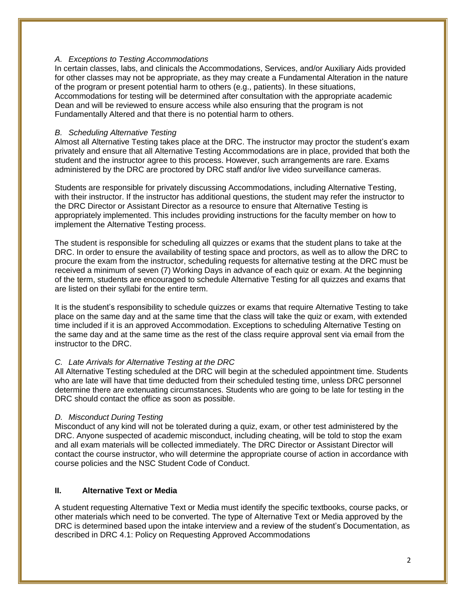#### *A. Exceptions to Testing Accommodations*

In certain classes, labs, and clinicals the Accommodations, Services, and/or Auxiliary Aids provided for other classes may not be appropriate, as they may create a Fundamental Alteration in the nature of the program or present potential harm to others (e.g., patients). In these situations, Accommodations for testing will be determined after consultation with the appropriate academic Dean and will be reviewed to ensure access while also ensuring that the program is not Fundamentally Altered and that there is no potential harm to others.

#### *B. Scheduling Alternative Testing*

Almost all Alternative Testing takes place at the DRC. The instructor may proctor the student's exam privately and ensure that all Alternative Testing Accommodations are in place, provided that both the student and the instructor agree to this process. However, such arrangements are rare. Exams administered by the DRC are proctored by DRC staff and/or live video surveillance cameras.

Students are responsible for privately discussing Accommodations, including Alternative Testing, with their instructor. If the instructor has additional questions, the student may refer the instructor to the DRC Director or Assistant Director as a resource to ensure that Alternative Testing is appropriately implemented. This includes providing instructions for the faculty member on how to implement the Alternative Testing process.

The student is responsible for scheduling all quizzes or exams that the student plans to take at the DRC. In order to ensure the availability of testing space and proctors, as well as to allow the DRC to procure the exam from the instructor, scheduling requests for alternative testing at the DRC must be received a minimum of seven (7) Working Days in advance of each quiz or exam. At the beginning of the term, students are encouraged to schedule Alternative Testing for all quizzes and exams that are listed on their syllabi for the entire term.

It is the student's responsibility to schedule quizzes or exams that require Alternative Testing to take place on the same day and at the same time that the class will take the quiz or exam, with extended time included if it is an approved Accommodation. Exceptions to scheduling Alternative Testing on the same day and at the same time as the rest of the class require approval sent via email from the instructor to the DRC.

# *C. Late Arrivals for Alternative Testing at the DRC*

All Alternative Testing scheduled at the DRC will begin at the scheduled appointment time. Students who are late will have that time deducted from their scheduled testing time, unless DRC personnel determine there are extenuating circumstances. Students who are going to be late for testing in the DRC should contact the office as soon as possible.

# *D. Misconduct During Testing*

Misconduct of any kind will not be tolerated during a quiz, exam, or other test administered by the DRC. Anyone suspected of academic misconduct, including cheating, will be told to stop the exam and all exam materials will be collected immediately. The DRC Director or Assistant Director will contact the course instructor, who will determine the appropriate course of action in accordance with course policies and the NSC Student Code of Conduct.

# **II. Alternative Text or Media**

A student requesting Alternative Text or Media must identify the specific textbooks, course packs, or other materials which need to be converted. The type of Alternative Text or Media approved by the DRC is determined based upon the intake interview and a review of the student's Documentation, as described in DRC 4.1: Policy on Requesting Approved Accommodations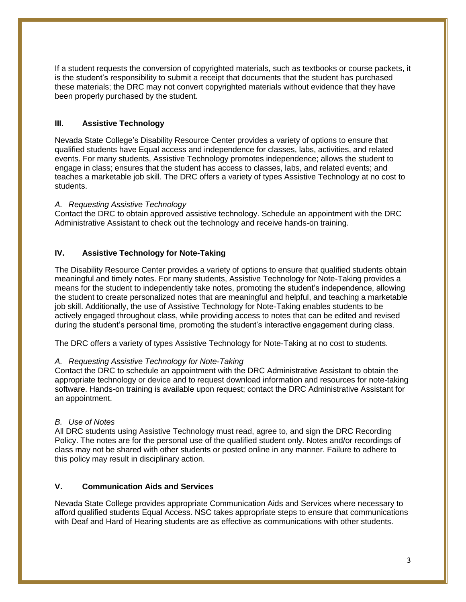If a student requests the conversion of copyrighted materials, such as textbooks or course packets, it is the student's responsibility to submit a receipt that documents that the student has purchased these materials; the DRC may not convert copyrighted materials without evidence that they have been properly purchased by the student.

# **III. Assistive Technology**

Nevada State College's Disability Resource Center provides a variety of options to ensure that qualified students have Equal access and independence for classes, labs, activities, and related events. For many students, Assistive Technology promotes independence; allows the student to engage in class; ensures that the student has access to classes, labs, and related events; and teaches a marketable job skill. The DRC offers a variety of types Assistive Technology at no cost to students.

# *A. Requesting Assistive Technology*

Contact the DRC to obtain approved assistive technology. Schedule an appointment with the DRC Administrative Assistant to check out the technology and receive hands-on training.

# **IV. Assistive Technology for Note-Taking**

The Disability Resource Center provides a variety of options to ensure that qualified students obtain meaningful and timely notes. For many students, Assistive Technology for Note-Taking provides a means for the student to independently take notes, promoting the student's independence, allowing the student to create personalized notes that are meaningful and helpful, and teaching a marketable job skill. Additionally, the use of Assistive Technology for Note-Taking enables students to be actively engaged throughout class, while providing access to notes that can be edited and revised during the student's personal time, promoting the student's interactive engagement during class.

The DRC offers a variety of types Assistive Technology for Note-Taking at no cost to students.

# *A. Requesting Assistive Technology for Note-Taking*

Contact the DRC to schedule an appointment with the DRC Administrative Assistant to obtain the appropriate technology or device and to request download information and resources for note-taking software. Hands-on training is available upon request; contact the DRC Administrative Assistant for an appointment.

# *B. Use of Notes*

All DRC students using Assistive Technology must read, agree to, and sign the DRC Recording Policy. The notes are for the personal use of the qualified student only. Notes and/or recordings of class may not be shared with other students or posted online in any manner. Failure to adhere to this policy may result in disciplinary action.

# **V. Communication Aids and Services**

Nevada State College provides appropriate Communication Aids and Services where necessary to afford qualified students Equal Access. NSC takes appropriate steps to ensure that communications with Deaf and Hard of Hearing students are as effective as communications with other students.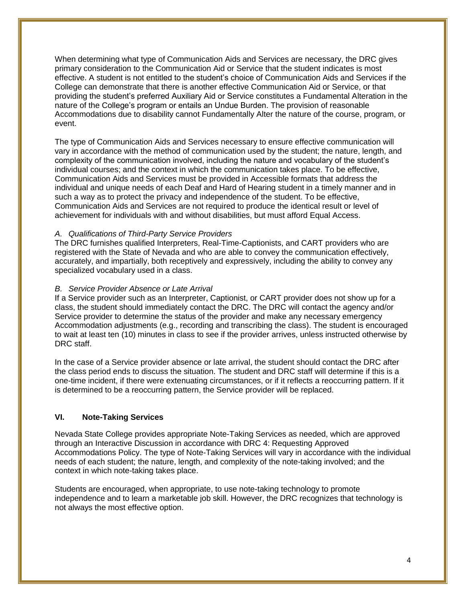When determining what type of Communication Aids and Services are necessary, the DRC gives primary consideration to the Communication Aid or Service that the student indicates is most effective. A student is not entitled to the student's choice of Communication Aids and Services if the College can demonstrate that there is another effective Communication Aid or Service, or that providing the student's preferred Auxiliary Aid or Service constitutes a Fundamental Alteration in the nature of the College's program or entails an Undue Burden. The provision of reasonable Accommodations due to disability cannot Fundamentally Alter the nature of the course, program, or event.

The type of Communication Aids and Services necessary to ensure effective communication will vary in accordance with the method of communication used by the student; the nature, length, and complexity of the communication involved, including the nature and vocabulary of the student's individual courses; and the context in which the communication takes place. To be effective, Communication Aids and Services must be provided in Accessible formats that address the individual and unique needs of each Deaf and Hard of Hearing student in a timely manner and in such a way as to protect the privacy and independence of the student. To be effective, Communication Aids and Services are not required to produce the identical result or level of achievement for individuals with and without disabilities, but must afford Equal Access.

# *A. Qualifications of Third-Party Service Providers*

The DRC furnishes qualified Interpreters, Real-Time-Captionists, and CART providers who are registered with the State of Nevada and who are able to convey the communication effectively, accurately, and impartially, both receptively and expressively, including the ability to convey any specialized vocabulary used in a class.

# *B. Service Provider Absence or Late Arrival*

If a Service provider such as an Interpreter, Captionist, or CART provider does not show up for a class, the student should immediately contact the DRC. The DRC will contact the agency and/or Service provider to determine the status of the provider and make any necessary emergency Accommodation adjustments (e.g., recording and transcribing the class). The student is encouraged to wait at least ten (10) minutes in class to see if the provider arrives, unless instructed otherwise by DRC staff.

In the case of a Service provider absence or late arrival, the student should contact the DRC after the class period ends to discuss the situation. The student and DRC staff will determine if this is a one-time incident, if there were extenuating circumstances, or if it reflects a reoccurring pattern. If it is determined to be a reoccurring pattern, the Service provider will be replaced.

# **VI. Note-Taking Services**

Nevada State College provides appropriate Note-Taking Services as needed, which are approved through an Interactive Discussion in accordance with DRC 4: Requesting Approved Accommodations Policy. The type of Note-Taking Services will vary in accordance with the individual needs of each student; the nature, length, and complexity of the note-taking involved; and the context in which note-taking takes place.

Students are encouraged, when appropriate, to use note-taking technology to promote independence and to learn a marketable job skill. However, the DRC recognizes that technology is not always the most effective option.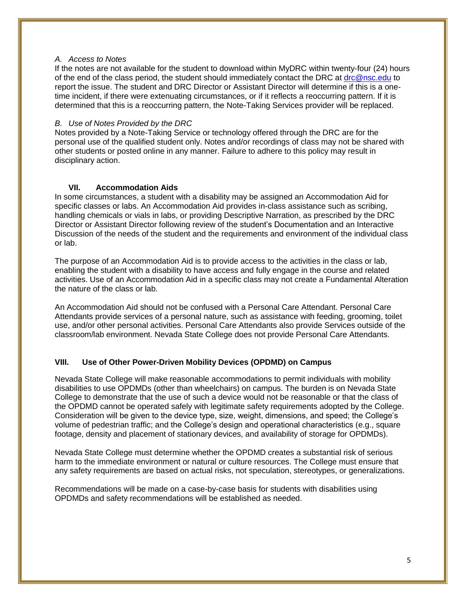## *A. Access to Notes*

If the notes are not available for the student to download within MyDRC within twenty-four (24) hours of the end of the class period, the student should immediately contact the DRC at [drc@nsc.edu](mailto:drc@nsc.edu) to report the issue. The student and DRC Director or Assistant Director will determine if this is a onetime incident, if there were extenuating circumstances, or if it reflects a reoccurring pattern. If it is determined that this is a reoccurring pattern, the Note-Taking Services provider will be replaced.

#### *B. Use of Notes Provided by the DRC*

Notes provided by a Note-Taking Service or technology offered through the DRC are for the personal use of the qualified student only. Notes and/or recordings of class may not be shared with other students or posted online in any manner. Failure to adhere to this policy may result in disciplinary action.

# **VII. Accommodation Aids**

In some circumstances, a student with a disability may be assigned an Accommodation Aid for specific classes or labs. An Accommodation Aid provides in-class assistance such as scribing, handling chemicals or vials in labs, or providing Descriptive Narration, as prescribed by the DRC Director or Assistant Director following review of the student's Documentation and an Interactive Discussion of the needs of the student and the requirements and environment of the individual class or lab.

The purpose of an Accommodation Aid is to provide access to the activities in the class or lab, enabling the student with a disability to have access and fully engage in the course and related activities. Use of an Accommodation Aid in a specific class may not create a Fundamental Alteration the nature of the class or lab.

An Accommodation Aid should not be confused with a Personal Care Attendant. Personal Care Attendants provide services of a personal nature, such as assistance with feeding, grooming, toilet use, and/or other personal activities. Personal Care Attendants also provide Services outside of the classroom/lab environment. Nevada State College does not provide Personal Care Attendants.

# **VIII. Use of Other Power-Driven Mobility Devices (OPDMD) on Campus**

Nevada State College will make reasonable accommodations to permit individuals with mobility disabilities to use OPDMDs (other than wheelchairs) on campus. The burden is on Nevada State College to demonstrate that the use of such a device would not be reasonable or that the class of the OPDMD cannot be operated safely with legitimate safety requirements adopted by the College. Consideration will be given to the device type, size, weight, dimensions, and speed; the College's volume of pedestrian traffic; and the College's design and operational characteristics (e.g., square footage, density and placement of stationary devices, and availability of storage for OPDMDs).

Nevada State College must determine whether the OPDMD creates a substantial risk of serious harm to the immediate environment or natural or culture resources. The College must ensure that any safety requirements are based on actual risks, not speculation, stereotypes, or generalizations.

Recommendations will be made on a case-by-case basis for students with disabilities using OPDMDs and safety recommendations will be established as needed.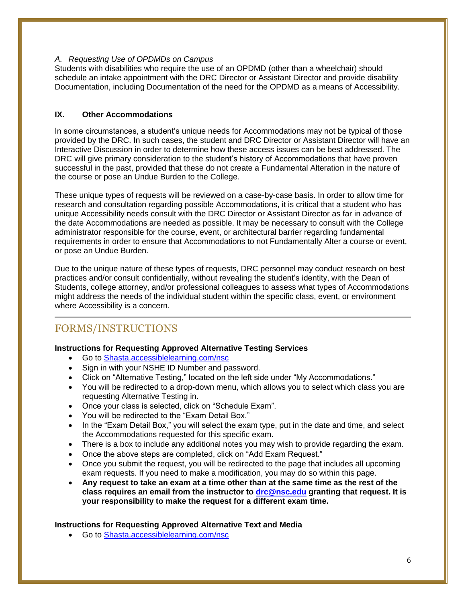# *A. Requesting Use of OPDMDs on Campus*

Students with disabilities who require the use of an OPDMD (other than a wheelchair) should schedule an intake appointment with the DRC Director or Assistant Director and provide disability Documentation, including Documentation of the need for the OPDMD as a means of Accessibility.

# **IX. Other Accommodations**

In some circumstances, a student's unique needs for Accommodations may not be typical of those provided by the DRC. In such cases, the student and DRC Director or Assistant Director will have an Interactive Discussion in order to determine how these access issues can be best addressed. The DRC will give primary consideration to the student's history of Accommodations that have proven successful in the past, provided that these do not create a Fundamental Alteration in the nature of the course or pose an Undue Burden to the College.

These unique types of requests will be reviewed on a case-by-case basis. In order to allow time for research and consultation regarding possible Accommodations, it is critical that a student who has unique Accessibility needs consult with the DRC Director or Assistant Director as far in advance of the date Accommodations are needed as possible. It may be necessary to consult with the College administrator responsible for the course, event, or architectural barrier regarding fundamental requirements in order to ensure that Accommodations to not Fundamentally Alter a course or event, or pose an Undue Burden.

Due to the unique nature of these types of requests, DRC personnel may conduct research on best practices and/or consult confidentially, without revealing the student's identity, with the Dean of Students, college attorney, and/or professional colleagues to assess what types of Accommodations might address the needs of the individual student within the specific class, event, or environment where Accessibility is a concern.

# FORMS/INSTRUCTIONS

# **Instructions for Requesting Approved Alternative Testing Services**

- Go to [Shasta.accessiblelearning.com/nsc](https://shasta.accessiblelearning.com/)
- Sign in with your NSHE ID Number and password.
- Click on "Alternative Testing," located on the left side under "My Accommodations."
- You will be redirected to a drop-down menu, which allows you to select which class you are requesting Alternative Testing in.
- Once your class is selected, click on "Schedule Exam".
- You will be redirected to the "Exam Detail Box."
- In the "Exam Detail Box," you will select the exam type, put in the date and time, and select the Accommodations requested for this specific exam.
- There is a box to include any additional notes you may wish to provide regarding the exam.
- Once the above steps are completed, click on "Add Exam Request."
- Once you submit the request, you will be redirected to the page that includes all upcoming exam requests. If you need to make a modification, you may do so within this page.
- **Any request to take an exam at a time other than at the same time as the rest of the class requires an email from the instructor to [drc@nsc.edu](mailto:drc@nsc.edu) granting that request. It is your responsibility to make the request for a different exam time.**

# **Instructions for Requesting Approved Alternative Text and Media**

Go to [Shasta.accessiblelearning.com/nsc](https://shasta.accessiblelearning.com/)